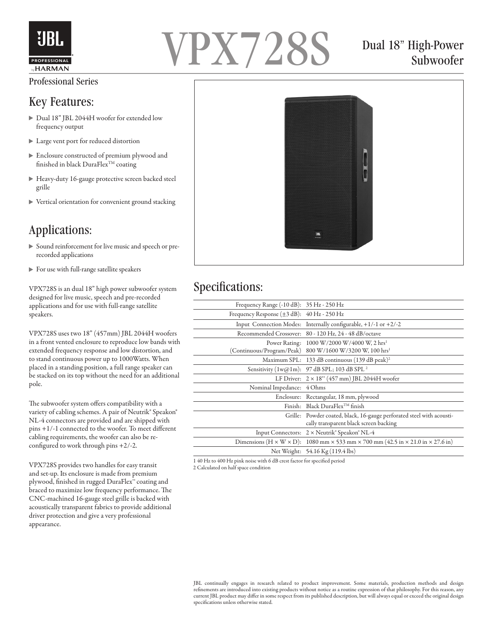

#### Professional Series

#### Key Features:

- Dual 18" JBL 2044H woofer for extended low frequency output
- Large vent port for reduced distortion
- Enclosure constructed of premium plywood and finished in black  $\text{DuraFlex}^{\text{TM}}\text{coating}$
- Heavy-duty 16-gauge protective screen backed steel grille
- Vertical orientation for convenient ground stacking

## Applications:

- Sound reinforcement for live music and speech or prerecorded applications
- For use with full-range satellite speakers

VPX728S is an dual 18" high power subwoofer system designed for live music, speech and pre-recorded applications and for use with full-range satellite speakers.

VPX728S uses two 18" (457mm) JBL 2044H woofers in a front vented enclosure to reproduce low bands with extended frequency response and low distortion, and to stand continuous power up to 1000Watts. When placed in a standing position, a full range speaker can be stacked on its top without the need for an additional pole.

The subwoofer system offers compatibility with a variety of cabling schemes. A pair of Neutrik® Speakon® NL-4 connectors are provided and are shipped with pins +1/-1 connected to the woofer. To meet different cabling requirements, the woofer can also be reconfigured to work through pins +2/-2.

VPX728S provides two handles for easy transit and set-up. Its enclosure is made from premium plywood, finished in rugged DuraFlex™ coating and braced to maximize low frequency performance. The CNC-machined 16-gauge steel grille is backed with acoustically transparent fabrics to provide additional driver protection and give a very professional appearance.



## Dual 18" High-Power Subwoofer



#### Specifications:

| Frequency Range $(-10 dB)$ : 35 Hz - 250 Hz |                                                                                                                               |
|---------------------------------------------|-------------------------------------------------------------------------------------------------------------------------------|
| Frequency Response (±3 dB): 40 Hz - 250 Hz  |                                                                                                                               |
|                                             | Input Connection Modes: Internally configurable, $+1/-1$ or $+2/-2$                                                           |
|                                             | Recommended Crossover: 80 - 120 Hz, 24 - 48 dB/octave                                                                         |
|                                             | Power Rating: 1000 W/2000 W/4000 W, 2 hrs <sup>1</sup><br>(Continuous/Program/Peak) 800 W/1600 W/3200 W, 100 hrs <sup>1</sup> |
|                                             | Maximum SPL: 133 dB continuous (139 dB peak) <sup>2</sup>                                                                     |
|                                             | Sensitivity (1w@1m): 97 dB SPL; 103 dB SPL <sup>2</sup>                                                                       |
|                                             | LF Driver: $2 \times 18$ " (457 mm) JBL 2044H woofer                                                                          |
| Nominal Impedance: 4 Ohms                   |                                                                                                                               |
|                                             | Enclosure: Rectangular, 18 mm, plywood                                                                                        |
|                                             | Finish: Black DuraFlex <sup>TM</sup> finish                                                                                   |
|                                             | Grille: Powder coated, black, 16-gauge perforated steel with acousti-<br>cally transparent black screen backing               |
|                                             | Input Connectors: 2 × Neutrik <sup>®</sup> Speakon <sup>®</sup> NL-4                                                          |
|                                             | Dimensions $(H \times W \times D)$ : 1080 mm $\times$ 533 mm $\times$ 700 mm (42.5 in $\times$ 21.0 in $\times$ 27.6 in)      |
|                                             | Net Weight: 54.16 Kg (119.4 lbs)                                                                                              |
|                                             |                                                                                                                               |

1 40 Hz to 400 Hz pink noise with 6 dB crest factor for specified period 2 Calculated on half space condition

JBL continually engages in research related to product improvement. Some materials, production methods and design refinements are introduced into existing products without notice as a routine expression of that philosophy. For this reason, any current JBL product may differ in some respect from its published description, but will always equal or exceed the original design specifications unless otherwise stated.